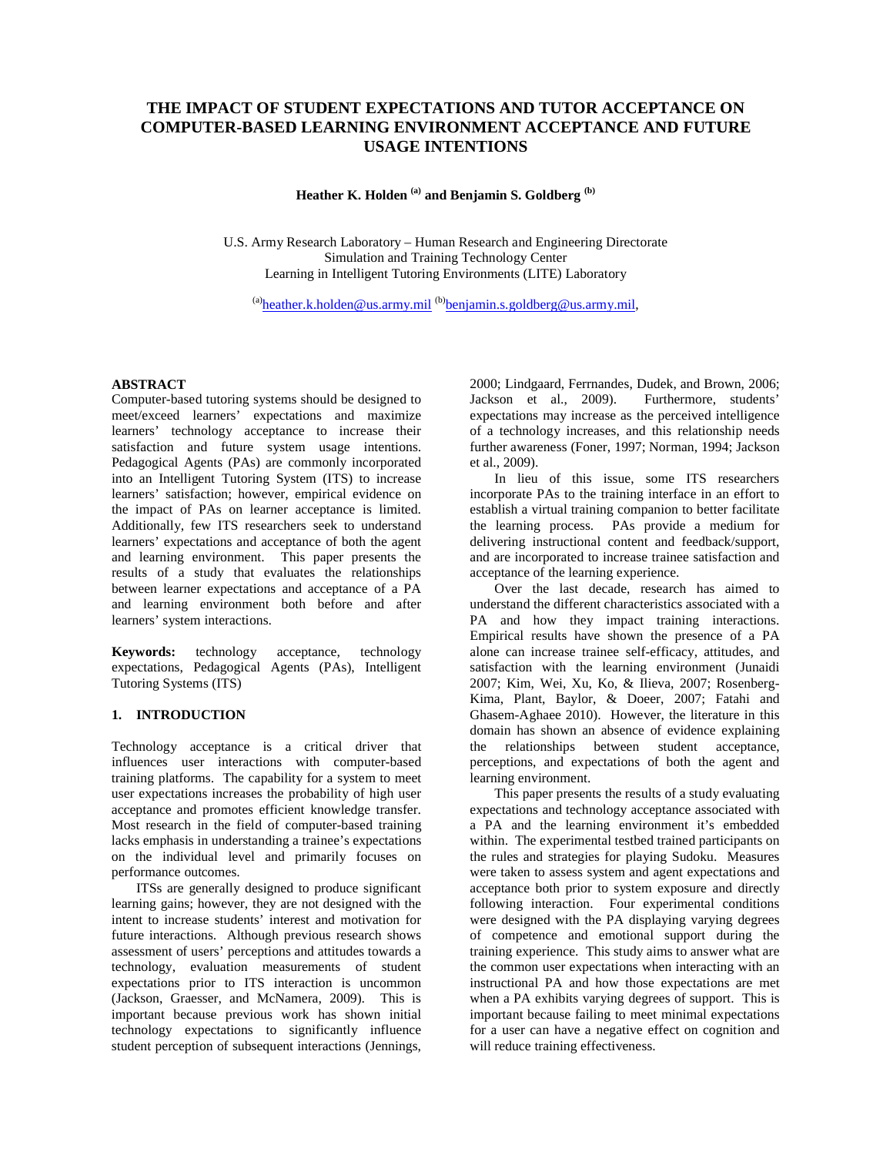# **THE IMPACT OF STUDENT EXPECTATIONS AND TUTOR ACCEPTANCE ON COMPUTER-BASED LEARNING ENVIRONMENT ACCEPTANCE AND FUTURE USAGE INTENTIONS**

**Heather K. Holden (a) and Benjamin S. Goldberg (b)**

U.S. Army Research Laboratory – Human Research and Engineering Directorate Simulation and Training Technology Center Learning in Intelligent Tutoring Environments (LITE) Laboratory

 $^{(a)}$ heather.k.holden@us.army.mil  $^{(b)}$ benjamin.s.goldberg@us.army.mil,

### **ABSTRACT**

Computer-based tutoring systems should be designed to meet/exceed learners' expectations and maximize learners' technology acceptance to increase their satisfaction and future system usage intentions. Pedagogical Agents (PAs) are commonly incorporated into an Intelligent Tutoring System (ITS) to increase learners' satisfaction; however, empirical evidence on the impact of PAs on learner acceptance is limited. Additionally, few ITS researchers seek to understand learners' expectations and acceptance of both the agent and learning environment. This paper presents the results of a study that evaluates the relationships between learner expectations and acceptance of a PA and learning environment both before and after learners' system interactions.

**Keywords:** technology acceptance, technology expectations, Pedagogical Agents (PAs), Intelligent Tutoring Systems (ITS)

# **1. INTRODUCTION**

Technology acceptance is a critical driver that influences user interactions with computer-based training platforms. The capability for a system to meet user expectations increases the probability of high user acceptance and promotes efficient knowledge transfer. Most research in the field of computer-based training lacks emphasis in understanding a trainee's expectations on the individual level and primarily focuses on performance outcomes.

ITSs are generally designed to produce significant learning gains; however, they are not designed with the intent to increase students' interest and motivation for future interactions. Although previous research shows assessment of users' perceptions and attitudes towards a technology, evaluation measurements of student expectations prior to ITS interaction is uncommon (Jackson, Graesser, and McNamera, 2009). This is important because previous work has shown initial technology expectations to significantly influence student perception of subsequent interactions (Jennings, 2000; Lindgaard, Ferrnandes, Dudek, and Brown, 2006; Jackson et al., 2009). Furthermore, students' expectations may increase as the perceived intelligence of a technology increases, and this relationship needs further awareness (Foner, 1997; Norman, 1994; Jackson et al., 2009).

In lieu of this issue, some ITS researchers incorporate PAs to the training interface in an effort to establish a virtual training companion to better facilitate the learning process. PAs provide a medium for delivering instructional content and feedback/support, and are incorporated to increase trainee satisfaction and acceptance of the learning experience.

Over the last decade, research has aimed to understand the different characteristics associated with a PA and how they impact training interactions. Empirical results have shown the presence of a PA alone can increase trainee self-efficacy, attitudes, and satisfaction with the learning environment (Junaidi 2007; Kim, Wei, Xu, Ko, & Ilieva, 2007; Rosenberg-Kima, Plant, Baylor, & Doeer, 2007; Fatahi and Ghasem-Aghaee 2010). However, the literature in this domain has shown an absence of evidence explaining the relationships between student acceptance, perceptions, and expectations of both the agent and learning environment.

This paper presents the results of a study evaluating expectations and technology acceptance associated with a PA and the learning environment it's embedded within. The experimental testbed trained participants on the rules and strategies for playing Sudoku. Measures were taken to assess system and agent expectations and acceptance both prior to system exposure and directly following interaction. Four experimental conditions were designed with the PA displaying varying degrees of competence and emotional support during the training experience. This study aims to answer what are the common user expectations when interacting with an instructional PA and how those expectations are met when a PA exhibits varying degrees of support. This is important because failing to meet minimal expectations for a user can have a negative effect on cognition and will reduce training effectiveness.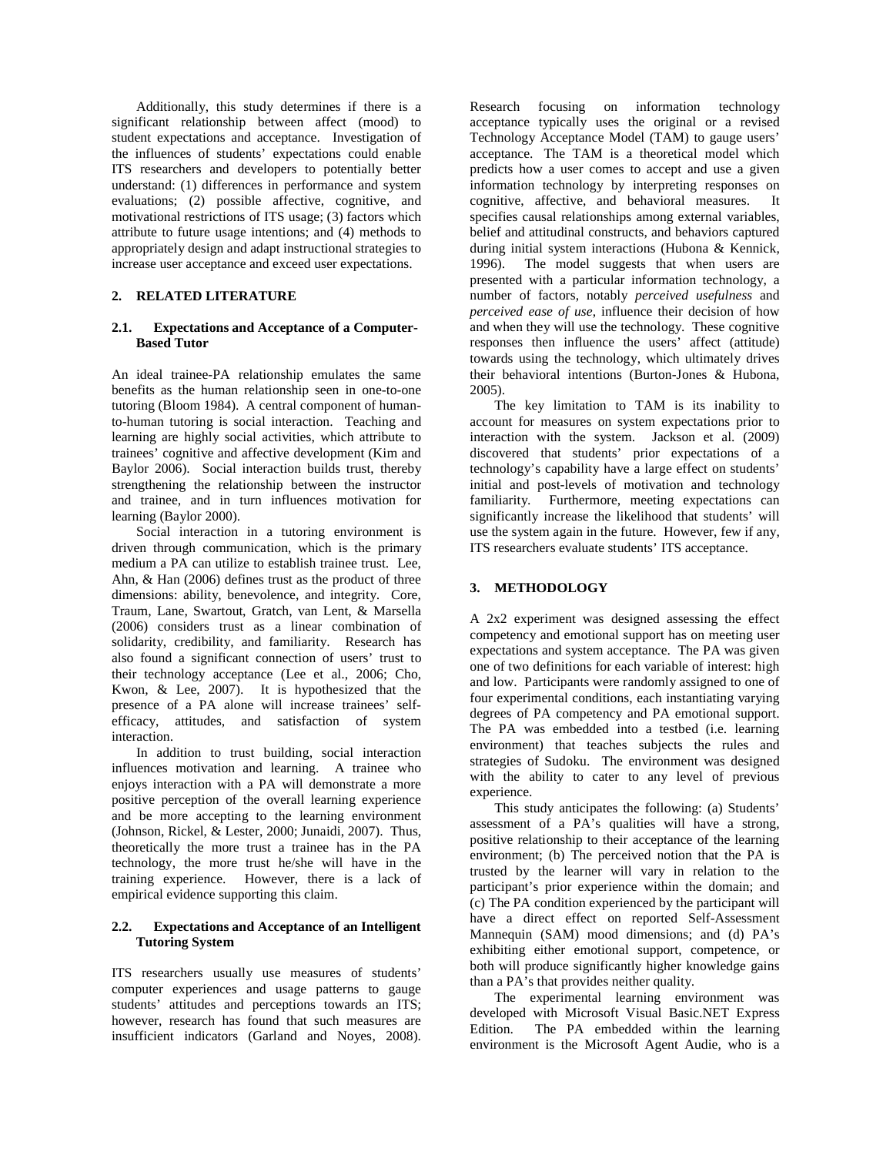Additionally, this study determines if there is a significant relationship between affect (mood) to student expectations and acceptance. Investigation of the influences of students' expectations could enable ITS researchers and developers to potentially better understand: (1) differences in performance and system evaluations; (2) possible affective, cognitive, and motivational restrictions of ITS usage; (3) factors which attribute to future usage intentions; and (4) methods to appropriately design and adapt instructional strategies to increase user acceptance and exceed user expectations.

#### **2. RELATED LITERATURE**

#### **2.1. Expectations and Acceptance of a Computer-Based Tutor**

An ideal trainee-PA relationship emulates the same benefits as the human relationship seen in one-to-one tutoring (Bloom 1984). A central component of humanto-human tutoring is social interaction. Teaching and learning are highly social activities, which attribute to trainees' cognitive and affective development (Kim and Baylor 2006). Social interaction builds trust, thereby strengthening the relationship between the instructor and trainee, and in turn influences motivation for learning (Baylor 2000).

Social interaction in a tutoring environment is driven through communication, which is the primary medium a PA can utilize to establish trainee trust. Lee, Ahn, & Han (2006) defines trust as the product of three dimensions: ability, benevolence, and integrity. Core, Traum, Lane, Swartout, Gratch, van Lent, & Marsella (2006) considers trust as a linear combination of solidarity, credibility, and familiarity. Research has also found a significant connection of users' trust to their technology acceptance (Lee et al., 2006; Cho, Kwon, & Lee, 2007). It is hypothesized that the presence of a PA alone will increase trainees' selfefficacy, attitudes, and satisfaction of system interaction.

In addition to trust building, social interaction influences motivation and learning. A trainee who enjoys interaction with a PA will demonstrate a more positive perception of the overall learning experience and be more accepting to the learning environment (Johnson, Rickel, & Lester, 2000; Junaidi, 2007). Thus, theoretically the more trust a trainee has in the PA technology, the more trust he/she will have in the training experience. However, there is a lack of empirical evidence supporting this claim.

### **2.2. Expectations and Acceptance of an Intelligent Tutoring System**

ITS researchers usually use measures of students' computer experiences and usage patterns to gauge students' attitudes and perceptions towards an ITS; however, research has found that such measures are insufficient indicators (Garland and Noyes, 2008).

Research focusing on information technology acceptance typically uses the original or a revised Technology Acceptance Model (TAM) to gauge users' acceptance. The TAM is a theoretical model which predicts how a user comes to accept and use a given information technology by interpreting responses on cognitive, affective, and behavioral measures. It specifies causal relationships among external variables, belief and attitudinal constructs, and behaviors captured during initial system interactions (Hubona & Kennick, 1996). The model suggests that when users are The model suggests that when users are presented with a particular information technology, a number of factors, notably *perceived usefulness* and *perceived ease of use*, influence their decision of how and when they will use the technology. These cognitive responses then influence the users' affect (attitude) towards using the technology, which ultimately drives their behavioral intentions (Burton-Jones & Hubona, 2005).

The key limitation to TAM is its inability to account for measures on system expectations prior to interaction with the system. Jackson et al. (2009) discovered that students' prior expectations of a technology's capability have a large effect on students' initial and post-levels of motivation and technology familiarity. Furthermore, meeting expectations can significantly increase the likelihood that students' will use the system again in the future. However, few if any, ITS researchers evaluate students' ITS acceptance.

### **3. METHODOLOGY**

A 2x2 experiment was designed assessing the effect competency and emotional support has on meeting user expectations and system acceptance. The PA was given one of two definitions for each variable of interest: high and low. Participants were randomly assigned to one of four experimental conditions, each instantiating varying degrees of PA competency and PA emotional support. The PA was embedded into a testbed (i.e. learning environment) that teaches subjects the rules and strategies of Sudoku. The environment was designed with the ability to cater to any level of previous experience.

This study anticipates the following: (a) Students' assessment of a PA's qualities will have a strong, positive relationship to their acceptance of the learning environment; (b) The perceived notion that the PA is trusted by the learner will vary in relation to the participant's prior experience within the domain; and (c) The PA condition experienced by the participant will have a direct effect on reported Self-Assessment Mannequin (SAM) mood dimensions; and (d) PA's exhibiting either emotional support, competence, or both will produce significantly higher knowledge gains than a PA's that provides neither quality.

The experimental learning environment was developed with Microsoft Visual Basic.NET Express Edition. The PA embedded within the learning environment is the Microsoft Agent Audie, who is a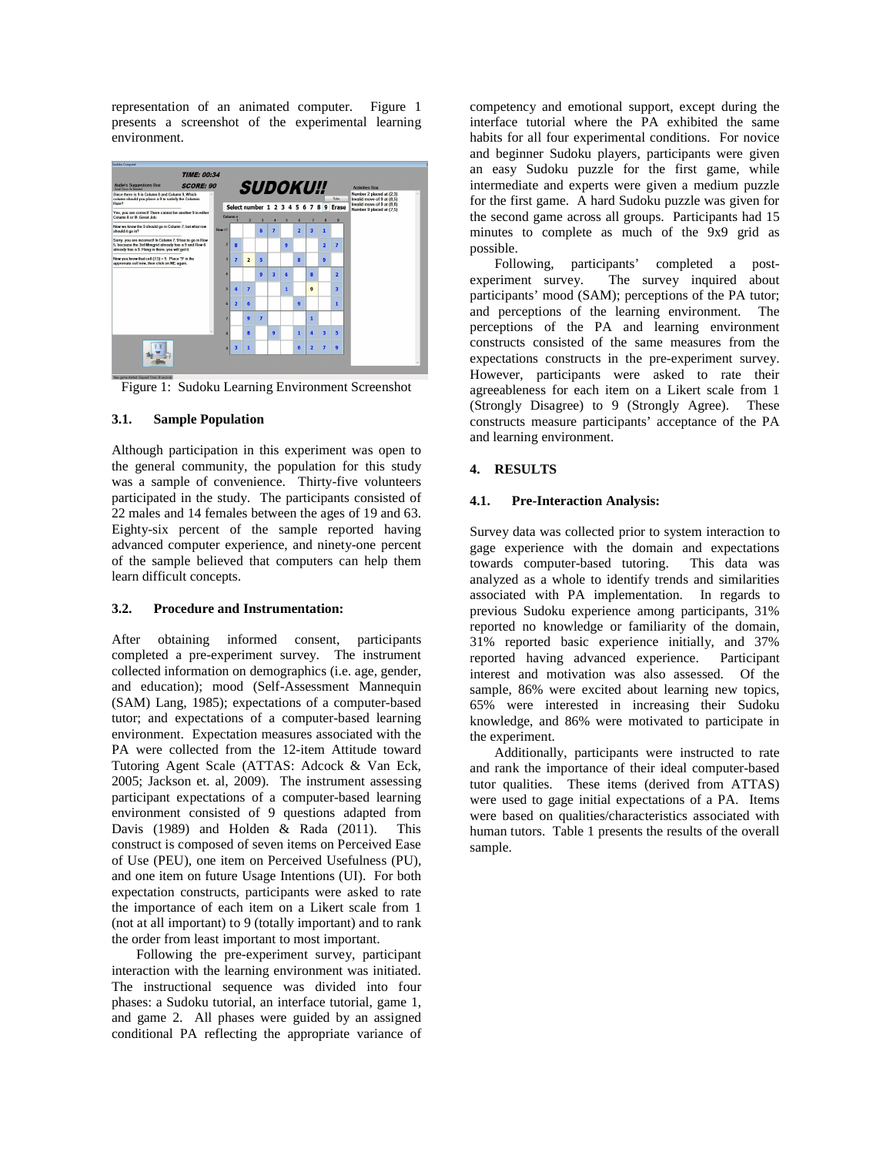representation of an animated computer. Figure 1 presents a screenshot of the experimental learning environment.



Figure 1: Sudoku Learning Environment Screenshot

### **3.1. Sample Population**

Although participation in this experiment was open to the general community, the population for this study was a sample of convenience. Thirty-five volunteers participated in the study. The participants consisted of 22 males and 14 females between the ages of 19 and 63. Eighty-six percent of the sample reported having advanced computer experience, and ninety-one percent of the sample believed that computers can help them learn difficult concepts.

### **3.2. Procedure and Instrumentation:**

After obtaining informed consent, participants completed a pre-experiment survey. The instrument collected information on demographics (i.e. age, gender, and education); mood (Self-Assessment Mannequin (SAM) Lang, 1985); expectations of a computer-based tutor; and expectations of a computer-based learning environment. Expectation measures associated with the PA were collected from the 12-item Attitude toward Tutoring Agent Scale (ATTAS: Adcock & Van Eck, 2005; Jackson et. al, 2009). The instrument assessing participant expectations of a computer-based learning environment consisted of 9 questions adapted from Davis (1989) and Holden & Rada (2011). This construct is composed of seven items on Perceived Ease of Use (PEU), one item on Perceived Usefulness (PU), and one item on future Usage Intentions (UI). For both expectation constructs, participants were asked to rate the importance of each item on a Likert scale from 1 (not at all important) to 9 (totally important) and to rank the order from least important to most important.

Following the pre-experiment survey, participant interaction with the learning environment was initiated. The instructional sequence was divided into four phases: a Sudoku tutorial, an interface tutorial, game 1, and game 2. All phases were guided by an assigned conditional PA reflecting the appropriate variance of

competency and emotional support, except during the interface tutorial where the PA exhibited the same habits for all four experimental conditions. For novice and beginner Sudoku players, participants were given an easy Sudoku puzzle for the first game, while intermediate and experts were given a medium puzzle for the first game. A hard Sudoku puzzle was given for the second game across all groups. Participants had 15 minutes to complete as much of the 9x9 grid as possible.

Following, participants' completed a postexperiment survey. The survey inquired about participants' mood (SAM); perceptions of the PA tutor; and perceptions of the learning environment. The perceptions of the PA and learning environment constructs consisted of the same measures from the expectations constructs in the pre-experiment survey. However, participants were asked to rate their agreeableness for each item on a Likert scale from 1 (Strongly Disagree) to 9 (Strongly Agree). These constructs measure participants' acceptance of the PA and learning environment.

# **4. RESULTS**

### **4.1. Pre-Interaction Analysis:**

Survey data was collected prior to system interaction to gage experience with the domain and expectations towards computer-based tutoring. This data was analyzed as a whole to identify trends and similarities associated with PA implementation. In regards to previous Sudoku experience among participants, 31% reported no knowledge or familiarity of the domain, 31% reported basic experience initially, and 37% reported having advanced experience. Participant interest and motivation was also assessed. Of the sample, 86% were excited about learning new topics, 65% were interested in increasing their Sudoku knowledge, and 86% were motivated to participate in the experiment.

Additionally, participants were instructed to rate and rank the importance of their ideal computer-based tutor qualities. These items (derived from ATTAS) were used to gage initial expectations of a PA. Items were based on qualities/characteristics associated with human tutors. Table 1 presents the results of the overall sample.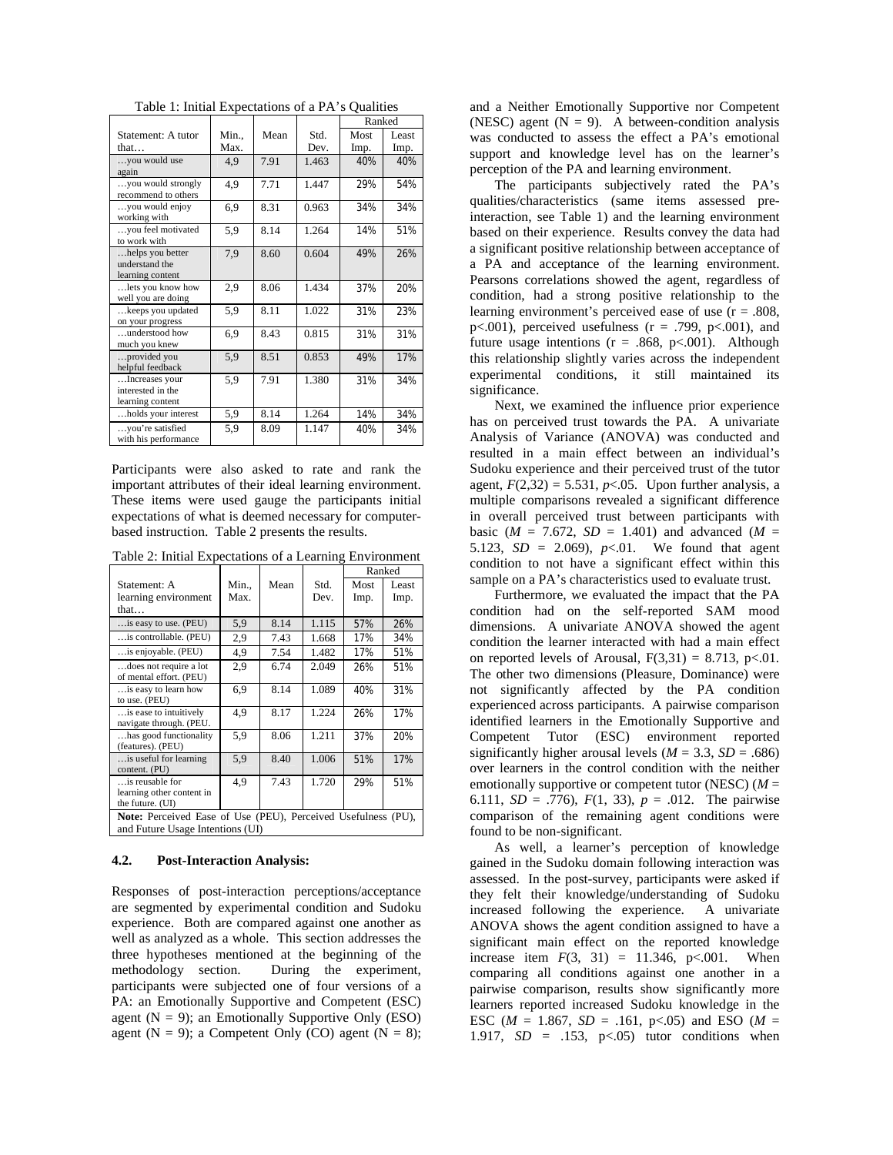|  |  | Table 1: Initial Expectations of a PA's Qualities |  |  |
|--|--|---------------------------------------------------|--|--|
|--|--|---------------------------------------------------|--|--|

|                                                         |       |      |       | Ranked |       |
|---------------------------------------------------------|-------|------|-------|--------|-------|
| Statement: A tutor                                      | Min., | Mean | Std.  | Most   | Least |
| that                                                    | Max.  |      | Dev.  | Imp.   | Imp.  |
| you would use                                           | 4,9   | 7.91 | 1.463 | 40%    | 40%   |
| again                                                   |       |      |       |        |       |
| you would strongly<br>recommend to others               | 4,9   | 7.71 | 1.447 | 29%    | 54%   |
| you would enjoy<br>working with                         | 6,9   | 8.31 | 0.963 | 34%    | 34%   |
| you feel motivated<br>to work with                      | 5,9   | 8.14 | 1.264 | 14%    | 51%   |
| helps you better<br>understand the<br>learning content  | 7,9   | 8.60 | 0.604 | 49%    | 26%   |
| lets you know how<br>well you are doing                 | 2,9   | 8.06 | 1.434 | 37%    | 20%   |
| keeps you updated<br>on your progress                   | 5,9   | 8.11 | 1.022 | 31%    | 23%   |
| understood how<br>much you knew                         | 6,9   | 8.43 | 0.815 | 31%    | 31%   |
| provided you<br>helpful feedback                        | 5,9   | 8.51 | 0.853 | 49%    | 17%   |
| Increases your<br>interested in the<br>learning content | 5,9   | 7.91 | 1.380 | 31%    | 34%   |
| holds your interest                                     | 5.9   | 8.14 | 1.264 | 14%    | 34%   |
| you're satisfied<br>with his performance                | 5,9   | 8.09 | 1.147 | 40%    | 34%   |

Participants were also asked to rate and rank the important attributes of their ideal learning environment. These items were used gauge the participants initial expectations of what is deemed necessary for computerbased instruction. Table 2 presents the results.

Table 2: Initial Expectations of a Learning Environment

|                                                                                                   |             |      |              | Ranked       |               |  |  |  |
|---------------------------------------------------------------------------------------------------|-------------|------|--------------|--------------|---------------|--|--|--|
| Statement: A<br>learning environment                                                              | Min<br>Max. | Mean | Std.<br>Dev. | Most<br>Imp. | Least<br>Imp. |  |  |  |
| that                                                                                              |             |      |              |              |               |  |  |  |
| is easy to use. (PEU)                                                                             | 5,9         | 8.14 | 1.115        | 57%          | 26%           |  |  |  |
| is controllable. (PEU)                                                                            | 2,9         | 7.43 | 1.668        | 17%          | 34%           |  |  |  |
| is enjoyable. (PEU)                                                                               | 4.9         | 7.54 | 1.482        | 17%          | 51%           |  |  |  |
| does not require a lot<br>of mental effort. (PEU)                                                 | 2,9         | 6.74 | 2.049        | 26%          | 51%           |  |  |  |
| is easy to learn how<br>to use. (PEU)                                                             | 6.9         | 8.14 | 1.089        | 40%          | 31%           |  |  |  |
| is ease to intuitively<br>navigate through. (PEU.                                                 | 4.9         | 8.17 | 1.224        | 26%          | 17%           |  |  |  |
| has good functionality<br>(features). (PEU)                                                       | 5.9         | 8.06 | 1.211        | 37%          | 20%           |  |  |  |
| is useful for learning.<br>content. (PU)                                                          | 5.9         | 8.40 | 1.006        | 51%          | 17%           |  |  |  |
| is reusable for                                                                                   | 4.9         | 7.43 | 1.720        | 29%          | 51%           |  |  |  |
| learning other content in<br>the future. (UI)                                                     |             |      |              |              |               |  |  |  |
| Note: Perceived Ease of Use (PEU), Perceived Usefulness (PU),<br>and Future Usage Intentions (UI) |             |      |              |              |               |  |  |  |

#### **4.2. Post-Interaction Analysis:**

Responses of post-interaction perceptions/acceptance are segmented by experimental condition and Sudoku experience. Both are compared against one another as well as analyzed as a whole. This section addresses the three hypotheses mentioned at the beginning of the methodology section. During the experiment, participants were subjected one of four versions of a PA: an Emotionally Supportive and Competent (ESC) agent  $(N = 9)$ ; an Emotionally Supportive Only (ESO) agent (N = 9); a Competent Only (CO) agent (N = 8);

and a Neither Emotionally Supportive nor Competent (NESC) agent  $(N = 9)$ . A between-condition analysis was conducted to assess the effect a PA's emotional support and knowledge level has on the learner's perception of the PA and learning environment.

The participants subjectively rated the PA's qualities/characteristics (same items assessed preinteraction, see Table 1) and the learning environment based on their experience. Results convey the data had a significant positive relationship between acceptance of a PA and acceptance of the learning environment. Pearsons correlations showed the agent, regardless of condition, had a strong positive relationship to the learning environment's perceived ease of use  $(r = .808, )$ p $<001$ ), perceived usefulness ( $r = .799$ , p $<001$ ), and future usage intentions  $(r = .868, p < .001)$ . Although this relationship slightly varies across the independent experimental conditions, it still maintained its significance.

Next, we examined the influence prior experience has on perceived trust towards the PA. A univariate Analysis of Variance (ANOVA) was conducted and resulted in a main effect between an individual's Sudoku experience and their perceived trust of the tutor agent,  $F(2,32) = 5.531$ ,  $p<.05$ . Upon further analysis, a multiple comparisons revealed a significant difference in overall perceived trust between participants with basic ( $M = 7.672$ ,  $SD = 1.401$ ) and advanced ( $M =$ 5.123,  $SD = 2.069$ ,  $p < 01$ . We found that agent condition to not have a significant effect within this sample on a PA's characteristics used to evaluate trust.

Furthermore, we evaluated the impact that the PA condition had on the self-reported SAM mood dimensions. A univariate ANOVA showed the agent condition the learner interacted with had a main effect on reported levels of Arousal,  $F(3,31) = 8.713$ , p<.01. The other two dimensions (Pleasure, Dominance) were not significantly affected by the PA condition experienced across participants. A pairwise comparison identified learners in the Emotionally Supportive and Competent Tutor (ESC) environment reported significantly higher arousal levels ( $M = 3.3$ ,  $SD = .686$ ) over learners in the control condition with the neither emotionally supportive or competent tutor (NESC) (*M* = 6.111,  $SD = .776$ ,  $F(1, 33)$ ,  $p = .012$ . The pairwise comparison of the remaining agent conditions were found to be non-significant.

As well, a learner's perception of knowledge gained in the Sudoku domain following interaction was assessed. In the post-survey, participants were asked if they felt their knowledge/understanding of Sudoku increased following the experience. A univariate ANOVA shows the agent condition assigned to have a significant main effect on the reported knowledge increase item  $F(3, 31) = 11.346$ ,  $p<.001$ . When comparing all conditions against one another in a pairwise comparison, results show significantly more learners reported increased Sudoku knowledge in the ESC ( $M = 1.867$ ,  $SD = .161$ ,  $p < .05$ ) and ESO ( $M =$ 1.917, *SD* = .153, p<.05) tutor conditions when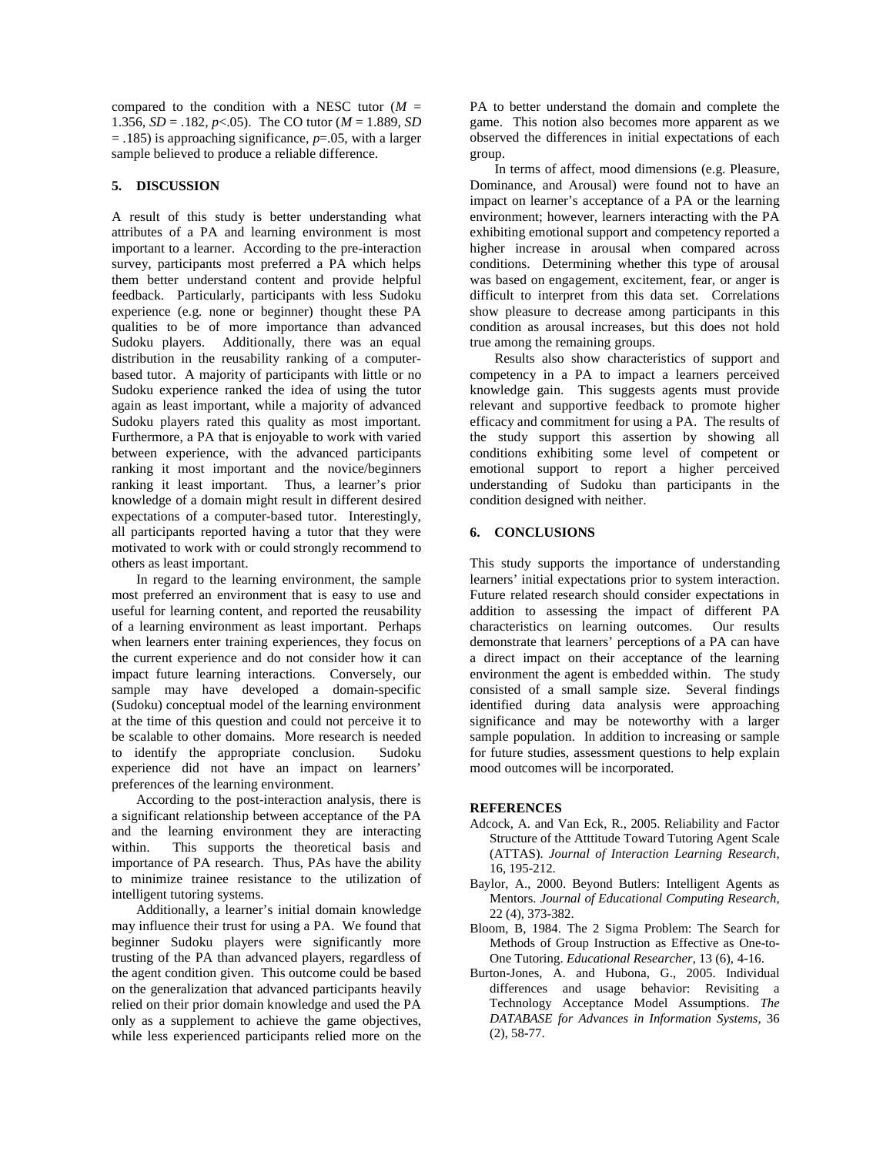compared to the condition with a NESC tutor  $(M =$ 1.356,  $SD = .182$ ,  $p < .05$ ). The CO tutor ( $M = 1.889$ , *SD* = .185) is approaching significance, *p*=.05, with a larger sample believed to produce a reliable difference.

# **5. DISCUSSION**

A result of this study is better understanding what attributes of a PA and learning environment is most important to a learner. According to the pre-interaction survey, participants most preferred a PA which helps them better understand content and provide helpful feedback. Particularly, participants with less Sudoku experience (e.g. none or beginner) thought these PA qualities to be of more importance than advanced Sudoku players. Additionally, there was an equal distribution in the reusability ranking of a computerbased tutor. A majority of participants with little or no Sudoku experience ranked the idea of using the tutor again as least important, while a majority of advanced Sudoku players rated this quality as most important. Furthermore, a PA that is enjoyable to work with varied between experience, with the advanced participants ranking it most important and the novice/beginners ranking it least important. Thus, a learner's prior knowledge of a domain might result in different desired expectations of a computer-based tutor. Interestingly, all participants reported having a tutor that they were motivated to work with or could strongly recommend to others as least important.

In regard to the learning environment, the sample most preferred an environment that is easy to use and useful for learning content, and reported the reusability of a learning environment as least important. Perhaps when learners enter training experiences, they focus on the current experience and do not consider how it can impact future learning interactions. Conversely, our sample may have developed a domain-specific (Sudoku) conceptual model of the learning environment at the time of this question and could not perceive it to be scalable to other domains. More research is needed to identify the appropriate conclusion. Sudoku experience did not have an impact on learners' preferences of the learning environment.

According to the post-interaction analysis, there is a significant relationship between acceptance of the PA and the learning environment they are interacting within. This supports the theoretical basis and importance of PA research. Thus, PAs have the ability to minimize trainee resistance to the utilization of intelligent tutoring systems.

Additionally, a learner's initial domain knowledge may influence their trust for using a PA. We found that beginner Sudoku players were significantly more trusting of the PA than advanced players, regardless of the agent condition given. This outcome could be based on the generalization that advanced participants heavily relied on their prior domain knowledge and used the PA only as a supplement to achieve the game objectives, while less experienced participants relied more on the

PA to better understand the domain and complete the game. This notion also becomes more apparent as we observed the differences in initial expectations of each group.

In terms of affect, mood dimensions (e.g. Pleasure, Dominance, and Arousal) were found not to have an impact on learner's acceptance of a PA or the learning environment; however, learners interacting with the PA exhibiting emotional support and competency reported a higher increase in arousal when compared across conditions. Determining whether this type of arousal was based on engagement, excitement, fear, or anger is difficult to interpret from this data set. Correlations show pleasure to decrease among participants in this condition as arousal increases, but this does not hold true among the remaining groups.

Results also show characteristics of support and competency in a PA to impact a learners perceived knowledge gain. This suggests agents must provide relevant and supportive feedback to promote higher efficacy and commitment for using a PA. The results of the study support this assertion by showing all conditions exhibiting some level of competent or emotional support to report a higher perceived understanding of Sudoku than participants in the condition designed with neither.

#### **6. CONCLUSIONS**

This study supports the importance of understanding learners' initial expectations prior to system interaction. Future related research should consider expectations in addition to assessing the impact of different PA characteristics on learning outcomes. Our results demonstrate that learners' perceptions of a PA can have a direct impact on their acceptance of the learning environment the agent is embedded within. The study consisted of a small sample size. Several findings identified during data analysis were approaching significance and may be noteworthy with a larger sample population. In addition to increasing or sample for future studies, assessment questions to help explain mood outcomes will be incorporated.

#### **REFERENCES**

- Adcock, A. and Van Eck, R., 2005. Reliability and Factor Structure of the Atttitude Toward Tutoring Agent Scale (ATTAS). *Journal of Interaction Learning Research*, 16, 195-212.
- Baylor, A., 2000. Beyond Butlers: Intelligent Agents as Mentors. *Journal of Educational Computing Research*, 22 (4), 373-382.
- Bloom, B, 1984. The 2 Sigma Problem: The Search for Methods of Group Instruction as Effective as One-to-One Tutoring. *Educational Researcher*, 13 (6), 4-16.
- Burton-Jones, A. and Hubona, G., 2005. Individual differences and usage behavior: Revisiting a Technology Acceptance Model Assumptions. *The DATABASE for Advances in Information Systems,* 36 (2), 58-77.